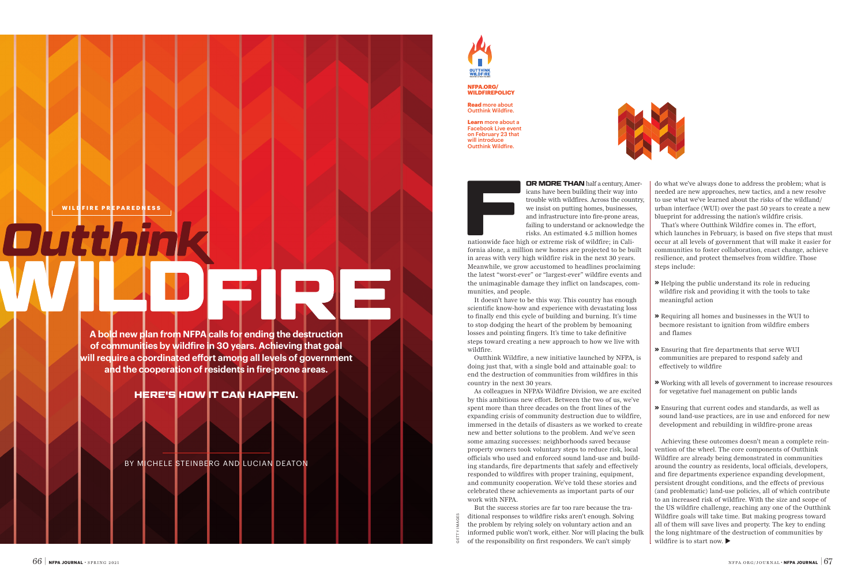**A bold new plan from NFPA calls for ending the destruction of communities by wildfire in 30 years. Achieving that goal will require a coordinated effort among all levels of government and the cooperation of residents in fire-prone areas.**

### **HERE'S HOW IT CAN HAPPEN.**

BY MICHELE STEINBERG AND LUCIAN DEATON



**EIRE PREPAREDNESS**<br> **WILL FIRE PREPAREDNESS**<br>
TRIMM the SACTOS ARE COUNTING THAN DISTRIBUTED TO FAIL AND THAN DISTRIBUTED TO FAIL AND THAN DISTRIBUTED TO THE THAN DISTRIBUTED TO THE VALUE TO THE THAN DISTRIBUTED TO THE VA icans have been building their way into trouble with wildfires. Across the country, we insist on putting homes, businesses, and infrastructure into fire-prone areas, failing to understand or acknowledge the risks. An estimated 4.5 million homes

nationwide face high or extreme risk of wildfire; in California alone, a million new homes are projected to be built in areas with very high wildfire risk in the next 30 years. Meanwhile, we grow accustomed to headlines proclaiming the latest "worst-ever" or "largest-ever" wildfire events and the unimaginable damage they inflict on landscapes, communities, and people.

It doesn't have to be this way. This country has enough scientific know-how and experience with devastating loss to finally end this cycle of building and burning. It's time to stop dodging the heart of the problem by bemoaning losses and pointing fingers. It's time to take definitive steps toward creating a new approach to how we live with wildfire.

Outthink Wildfire, a new initiative launched by NFPA, is doing just that, with a single bold and attainable goal: to end the destruction of communities from wildfires in this country in the next 30 years.

> Achieving these outcomes doesn't mean a complete reinvention of the wheel. The core components of Outthink Wildfire are already being demonstrated in communities around the country as residents, local officials, developers, and fire departments experience expanding development, persistent drought conditions, and the effects of previous (and problematic) land-use policies, all of which contribute to an increased risk of wildfire. With the size and scope of the US wildfire challenge, reaching any one of the Outthink Wildfire goals will take time. But making progress toward all of them will save lives and property. The key to ending the long nightmare of the destruction of communities by wildfire is to start now.  $\blacktriangleright$

 $\frac{3}{2}$  ditional responses to wildfire risks aren't enough. Solving<br>  $\frac{3}{2}$  ditional responses to wildfire risks aren't enough. Solving<br>
informed public won't work, either. Nor will placing the bulk<br>
of the responsib



As colleagues in NFPA's Wildfire Division, we are excited by this ambitious new effort. Between the two of us, we've spent more than three decades on the front lines of the expanding crisis of community destruction due to wildfire, immersed in the details of disasters as we worked to create new and better solutions to the problem. And we've seen some amazing successes: neighborhoods saved because property owners took voluntary steps to reduce risk, local officials who used and enforced sound land-use and building standards, fire departments that safely and effectively responded to wildfires with proper training, equipment, and community cooperation. We've told these stories and celebrated these achievements as important parts of our work with NFPA.

But the success stories are far too rare because the traditional responses to wildfire risks aren't enough. Solving the problem by relying solely on voluntary action and an informed public won't work, either. Nor will placing the bulk of the responsibility on first responders. We can't simply



do what we've always done to address the problem; what is needed are new approaches, new tactics, and a new resolve to use what we've learned about the risks of the wildland/ urban interface (WUI) over the past 50 years to create a new blueprint for addressing the nation's wildfire crisis. That's where Outthink Wildfire comes in. The effort, which launches in February, is based on five steps that must occur at all levels of government that will make it easier for communities to foster collaboration, enact change, achieve resilience, and protect themselves from wildfire. Those steps include:

**»** Helping the public understand its role in reducing wildfire risk and providing it with the tools to take meaningful action

**»** Requiring all homes and businesses in the WUI to becmore resistant to ignition from wildfire embers and flames

**»** Ensuring that fire departments that serve WUI communities are prepared to respond safely and effectively to wildfire

**»** Working with all levels of government to increase resources for vegetative fuel management on public lands

**»** Ensuring that current codes and standards, as well as sound land-use practices, are in use and enforced for new development and rebuilding in wildfire-prone areas

**NFPA.ORG/ WILDFIREPOLICY**

**Read** more about Outthink Wildfire.

**Learn** more about a Facebook Live event on February 23 that will introduce Outthink Wildfire.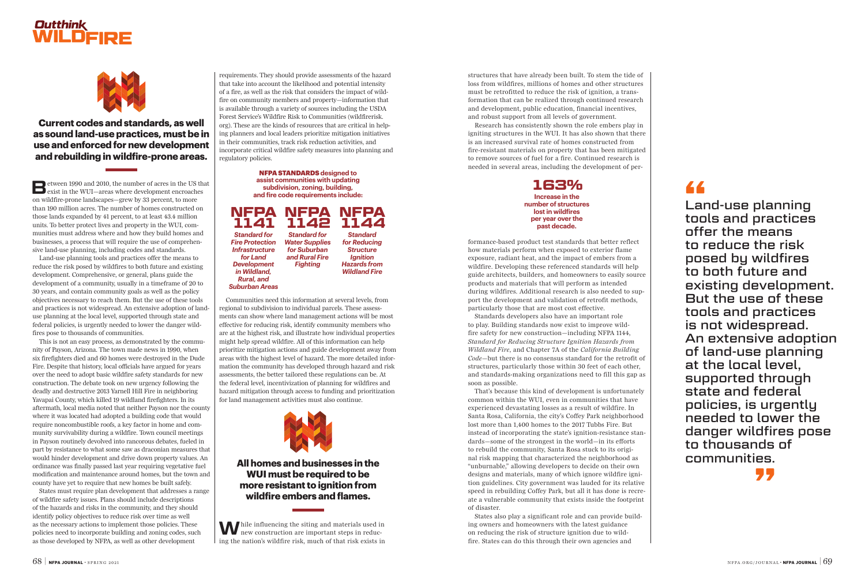structures that have already been built. To stem the tide of loss from wildfires, millions of homes and other structures must be retrofitted to reduce the risk of ignition, a transformation that can be realized through continued research and development, public education, financial incentives, and robust support from all levels of government.

Research has consistently shown the role embers play in igniting structures in the WUI. It has also shown that there is an increased survival rate of homes constructed from fire-resistant materials on property that has been mitigated to remove sources of fuel for a fire. Continued research is needed in several areas, including the development of per-

formance-based product test standards that better reflect how materials perform when exposed to exterior flame exposure, radiant heat, and the impact of embers from a wildfire. Developing these referenced standards will help guide architects, builders, and homeowners to easily source products and materials that will perform as intended during wildfires. Additional research is also needed to support the development and validation of retrofit methods, particularly those that are most cost effective.

Standards developers also have an important role to play. Building standards now exist to improve wildfire safety for new construction—including NFPA 1144, *Standard for Reducing Structure Ignition Hazards from Wildland Fire*, and Chapter 7A of the *California Building Code*—but there is no consensus standard for the retrofit of structures, particularly those within 30 feet of each other, and standards-making organizations need to fill this gap as soon as possible.

That's because this kind of development is unfortunately common within the WUI, even in communities that have experienced devastating losses as a result of wildfire. In Santa Rosa, California, the city's Coffey Park neighborhood lost more than 1,400 homes to the 2017 Tubbs Fire. But instead of incorporating the state's ignition-resistance standards—some of the strongest in the world—in its efforts to rebuild the community, Santa Rosa stuck to its original risk mapping that characterized the neighborhood as "unburnable," allowing developers to decide on their own designs and materials, many of which ignore wildfire ignition guidelines. City government was lauded for its relative speed in rebuilding Coffey Park, but all it has done is recreate a vulnerable community that exists inside the footprint of disaster.

While influencing the siting and materials used in new construction are important steps in reducing the nation's wildfire risk, much of that risk exists in

**B**etween 1990 and 2010, the number of acres in the US that exist in the WUI—areas where development encroaches on wildfire-prone landscapes—grew by 33 percent, to more than 190 million acres. The number of homes constructed on those lands expanded by 41 percent, to at least 43.4 million units. To better protect lives and property in the WUI, communities must address where and how they build homes and businesses, a process that will require the use of comprehensive land-use planning, including codes and standards.

> States also play a significant role and can provide building owners and homeowners with the latest guidance on reducing the risk of structure ignition due to wildfire. States can do this through their own agencies and

requirements. They should provide assessments of the hazard that take into account the likelihood and potential intensity of a fire, as well as the risk that considers the impact of wildfire on community members and property—information that is available through a variety of sources including the USDA Forest Service's Wildfire Risk to Communities (wildfirerisk. org). These are the kinds of resources that are critical in helping planners and local leaders prioritize mitigation initiatives in their communities, track risk reduction activities, and incorporate critical wildfire safety measures into planning and regulatory policies.

Communities need this information at several levels, from regional to subdivision to individual parcels. These assessments can show where land management actions will be most effective for reducing risk, identify community members who are at the highest risk, and illustrate how individual properties might help spread wildfire. All of this information can help prioritize mitigation actions and guide development away from areas with the highest level of hazard. The more detailed information the community has developed through hazard and risk assessments, the better tailored these regulations can be. At the federal level, incentivization of planning for wildfires and hazard mitigation through access to funding and prioritization for land management activities must also continue.



Land-use planning tools and practices offer the means to reduce the risk posed by wildfires to both future and existing development. Comprehensive, or general, plans guide the development of a community, usually in a timeframe of 20 to 30 years, and contain community goals as well as the policy objectives necessary to reach them. But the use of these tools and practices is not widespread. An extensive adoption of landuse planning at the local level, supported through state and federal policies, is urgently needed to lower the danger wildfires pose to thousands of communities.

This is not an easy process, as demonstrated by the community of Payson, Arizona. The town made news in 1990, when six firefighters died and 60 homes were destroyed in the Dude Fire. Despite that history, local officials have argued for years over the need to adopt basic wildfire safety standards for new construction. The debate took on new urgency following the deadly and destructive 2013 Yarnell Hill Fire in neighboring Yavapai County, which killed 19 wildland firefighters. In its aftermath, local media noted that neither Payson nor the county where it was located had adopted a building code that would require noncombustible roofs, a key factor in home and community survivability during a wildfire. Town council meetings in Payson routinely devolved into rancorous debates, fueled in part by resistance to what some saw as draconian measures that would hinder development and drive down property values. An ordinance was finally passed last year requiring vegetative fuel modification and maintenance around homes, but the town and county have yet to require that new homes be built safely.

States must require plan development that addresses a range of wildfire safety issues. Plans should include descriptions of the hazards and risks in the community, and they should identify policy objectives to reduce risk over time as well as the necessary actions to implement those policies. These policies need to incorporate building and zoning codes, such as those developed by NFPA, as well as other development

#### **163% Increase in the number of structures lost in wildfires per year over the past decade.**

NFPA STANDARDS **designed to assist communities with updating subdivision, zoning, building, and fire code requirements include:**

#### **NFPA 1141** *Standard for Fire Protection*  **NFPA 1142** *Standard for Water Supplies*  **NFPA 1144** *Standard*

*Infrastructure for Land Development in Wildland, Rural, and Suburban Areas for Suburban and Rural Fire* 

*Fighting*

*for Reducing Structure Ignition Hazards from Wildland Fire*

# **Outthink<br>WILDFIRE**



**Current codes and standards, as well as sound land-use practices, must be in use and enforced for new development and rebuilding in wildfire-prone areas.**

> Land-use planning tools and practices offer the means to reduce the risk posed by wildfires to both future and existing development. But the use of these tools and practices is not widespread. An extensive adoption of land-use planning at the local level, supported through state and federal policies, is urgently needed to lower the danger wildfires pose to thousands of communities.

# **"**

**"**

**All homes and businesses in the WUI must be required to be more resistant to ignition from wildfire embers and flames.**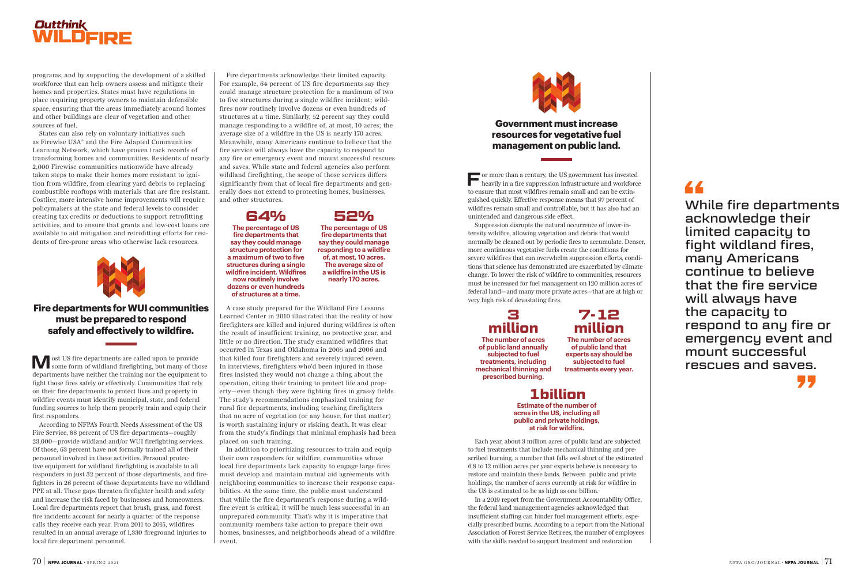# **Outthink<br>WILDFIRE**

programs, and by supporting the development of a skilled workforce that can help owners assess and mitigate their homes and properties. States must have regulations in place requiring property owners to maintain defensible space, ensuring that the areas immediately around homes and other buildings are clear of vegetation and other sources of fuel.

States can also rely on voluntary initiatives such as Firewise USA® and the Fire Adapted Communities Learning Network, which have proven track records of transforming homes and communities. Residents of nearly 2,000 Firewise communities nationwide have already taken steps to make their homes more resistant to ignition from wildfire, from clearing yard debris to replacing combustible rooftops with materials that are fire resistant. Costlier, more intensive home improvements will require policymakers at the state and federal levels to consider creating tax credits or deductions to support retrofitting activities, and to ensure that grants and low-cost loans are available to aid mitigation and retrofitting efforts for residents of fire-prone areas who otherwise lack resources.



**M** ost US fire departments are called upon to provide some form of wildland firefighting, but many of those departments have neither the training nor the equipment to fight those fires safely or effectively. Communities that rely on their fire departments to protect lives and property in wildfire events must identify municipal, state, and federal funding sources to help them properly train and equip their first responders.

**For more than a century, the US government has invested heavily in a fire suppression infrastructure and workforce** to ensure that most wildfires remain small and can be extinguished quickly. Effective response means that 97 percent of wildfires remain small and controllable, but it has also had an unintended and dangerous side effect.

According to NFPA's Fourth Needs Assessment of the US Fire Service, 88 percent of US fire departments—roughly 23,000—provide wildland and/or WUI firefighting services. Of those, 63 percent have not formally trained all of their personnel involved in these activities. Personal protective equipment for wildland firefighting is available to all responders in just 32 percent of those departments, and firefighters in 26 percent of those departments have no wildland PPE at all. These gaps threaten firefighter health and safety and increase the risk faced by businesses and homeowners. Local fire departments report that brush, grass, and forest fire incidents account for nearly a quarter of the response calls they receive each year. From 2011 to 2015, wildfires resulted in an annual average of 1,330 fireground injuries to local fire department personnel.

Suppression disrupts the natural occurrence of lower-intensity wildfire, allowing vegetation and debris that would normally be cleaned out by periodic fires to accumulate. Denser, more continuous vegetative fuels create the conditions for severe wildfires that can overwhelm suppression efforts, conditions that science has demonstrated are exacerbated by climate change. To lower the risk of wildfire to communities, resources must be increased for fuel management on 120 million acres of federal land—and many more private acres—that are at high or very high risk of devastating fires.

Each year, about 3 million acres of public land are subjected to fuel treatments that include mechanical thinning and prescribed burning, a number that falls well short of the estimated 6.8 to 12 million acres per year experts believe is necessary to restore and maintain these lands. Between public and privte holdings, the number of acres currently at risk for wildfire in the US is estimated to be as high as one billion.

In a 2019 report from the Government Accountability Office, the federal land management agencies acknowledged that insufficient staffing can hinder fuel management efforts, especially prescribed burns. According to a report from the National Association of Forest Service Retirees, the number of employees with the skills needed to support treatment and restoration

Fire departments acknowledge their limited capacity. For example, 64 percent of US fire departments say they could manage structure protection for a maximum of two to five structures during a single wildfire incident; wildfires now routinely involve dozens or even hundreds of structures at a time. Similarly, 52 percent say they could manage responding to a wildfire of, at most, 10 acres; the average size of a wildfire in the US is nearly 170 acres. Meanwhile, many Americans continue to believe that the fire service will always have the capacity to respond to any fire or emergency event and mount successful rescues and saves. While state and federal agencies also perform wildland firefighting, the scope of those services differs significantly from that of local fire departments and generally does not extend to protecting homes, businesses, and other structures.

A case study prepared for the Wildland Fire Lessons Learned Center in 2010 illustrated that the reality of how firefighters are killed and injured during wildfires is often the result of insufficient training, no protective gear, and little or no direction. The study examined wildfires that occurred in Texas and Oklahoma in 2005 and 2006 and that killed four firefighters and severely injured seven. In interviews, firefighters who'd been injured in those fires insisted they would not change a thing about the operation, citing their training to protect life and property—even though they were fighting fires in grassy fields. The study's recommendations emphasized training for rural fire departments, including teaching firefighters that no acre of vegetation (or any house, for that matter) is worth sustaining injury or risking death. It was clear from the study's findings that minimal emphasis had been placed on such training.

In addition to prioritizing resources to train and equip their own responders for wildfire, communities whose local fire departments lack capacity to engage large fires must develop and maintain mutual aid agreements with neighboring communities to increase their response capabilities. At the same time, the public must understand that while the fire department's response during a wildfire event is critical, it will be much less successful in an unprepared community. That's why it is imperative that community members take action to prepare their own homes, businesses, and neighborhoods ahead of a wildfire event.



## **1billion**

**Estimate of the number of acres in the US, including all public and private holdings, at risk for wildfire.** 

## **3 million**

**The number of acres of public land annually subjected to fuel treatments, including mechanical thinning and prescribed burning.**

## **7-12 million**

**The number of acres of public land that experts say should be subjected to fuel treatments every year.** 

While fire departments **"** acknowledge their limited capacity to fight wildland fires, many Americans continue to believe that the fire service will always have the capacity to respond to any fire or emergency event and mount successful rescues and saves.

**"**

# **64%**

**The percentage of US fire departments that say they could manage structure protection for a maximum of two to five structures during a single wildfire incident. Wildfires now routinely involve dozens or even hundreds of structures at a time.**

**52%**

**The percentage of US fire departments that say they could manage responding to a wildfire of, at most, 10 acres. The average size of a wildfire in the US is nearly 170 acres.**

## **Fire departments for WUI communities must be prepared to respond safely and effectively to wildfire.**

## **Government must increase resources for vegetative fuel management on public land.**